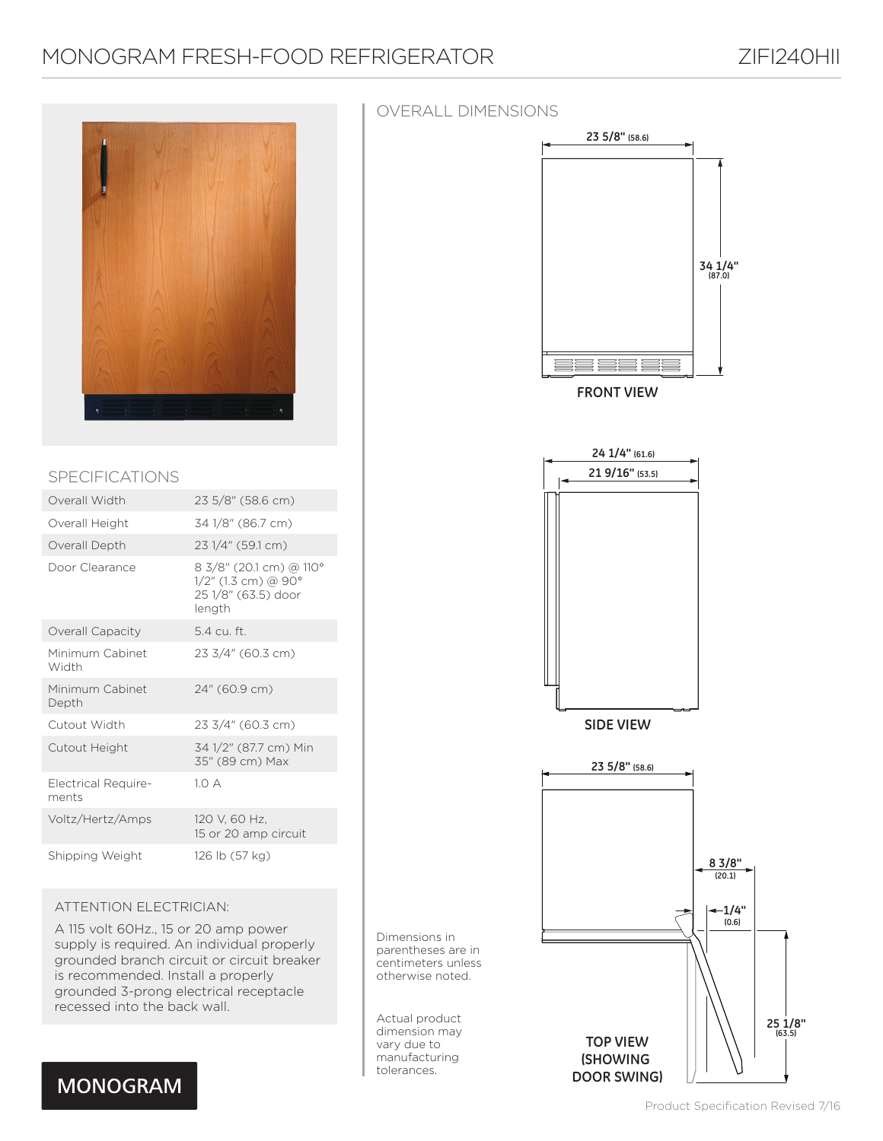# MONOGRAM FRESH-FOOD REFRIGERATOR ZIFI240HII



### SPECIFICATIONS

| Overall Width                       | 23 5/8" (58.6 cm)                                                               |
|-------------------------------------|---------------------------------------------------------------------------------|
| Overall Height                      | 34 1/8" (86.7 cm)                                                               |
| Overall Depth                       | 23 1/4" (59.1 cm)                                                               |
| Door Clearance                      | 8 3/8" (20.1 cm) @ 110°<br>1/2" (1.3 cm) @ 90°<br>25 1/8" (63.5) door<br>length |
| Overall Capacity                    | 5.4 cu. ft.                                                                     |
| Minimum Cabinet<br>Width            | 23 3/4" (60.3 cm)                                                               |
| Minimum Cabinet<br>Depth            | 24" (60.9 cm)                                                                   |
| Cutout Width                        | 23 3/4" (60.3 cm)                                                               |
| Cutout Height                       | 34 1/2" (87.7 cm) Min<br>35" (89 cm) Max                                        |
| <b>Electrical Require-</b><br>ments | 10A                                                                             |
| Voltz/Hertz/Amps                    | 120 V, 60 Hz,<br>15 or 20 amp circuit                                           |
| Shipping Weight                     | 126 lb (57 kg)                                                                  |

### ATTENTION ELECTRICIAN:

A 115 volt 60Hz., 15 or 20 amp power supply is required. An individual properly grounded branch circuit or circuit breaker is recommended. Install a properly grounded 3-prong electrical receptacle recessed into the back wall.

Dimensions in parentheses are in centimeters unless otherwise noted.

Actual product dimension may vary due to manufacturing tolerances.



**DOOR SWING)**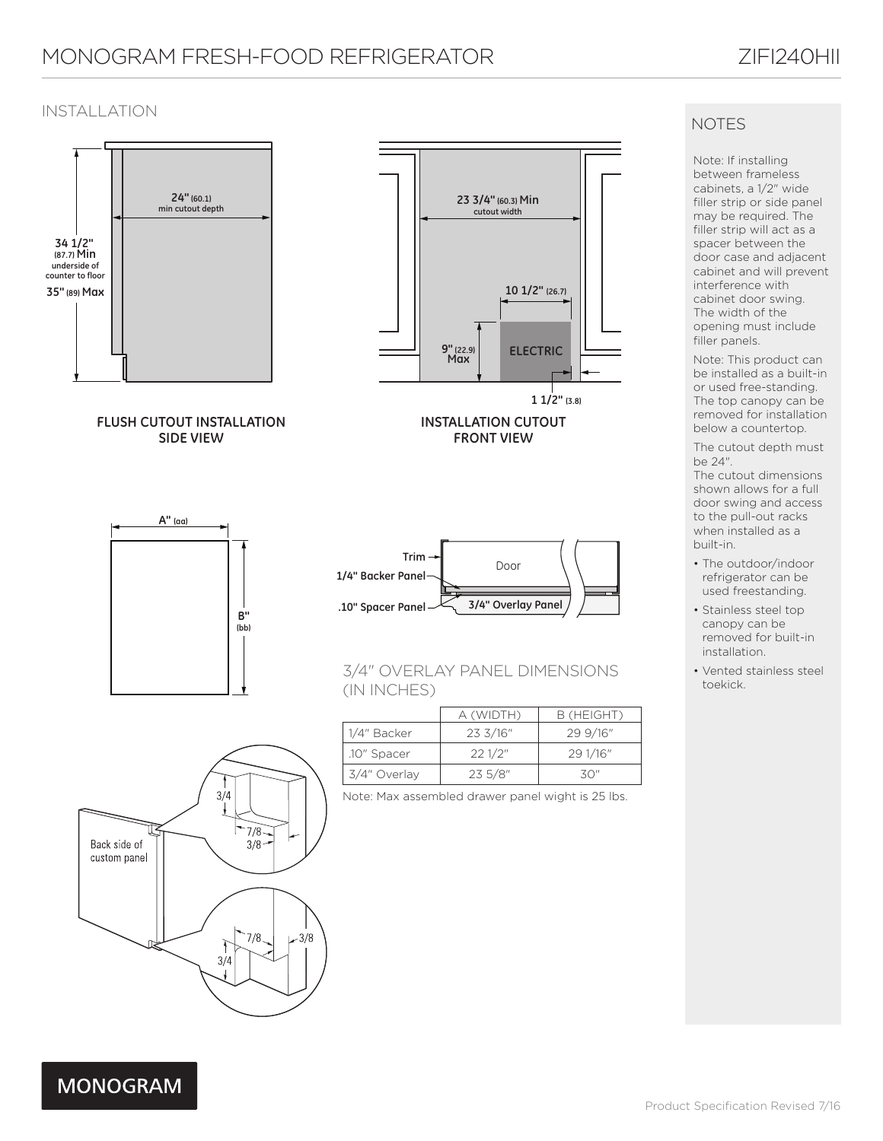# MONOGRAM FRESH-FOOD REFRIGERATOR ZIFI240HII

### INSTALLATION



## **NOTES**

Note: If installing between frameless cabinets, a 1/2" wide filler strip or side panel may be required. The filler strip will act as a spacer between the door case and adjacent cabinet and will prevent interference with cabinet door swing. The width of the opening must include filler panels.

Note: This product can be installed as a built-in or used free-standing. The top canopy can be removed for installation below a countertop.

The cutout depth must be 24".

The cutout dimensions shown allows for a full door swing and access to the pull-out racks when installed as a built-in.

- The outdoor/indoor refrigerator can be used freestanding.
- Stainless steel top canopy can be removed for built-in installation.
- Vented stainless steel toekick.